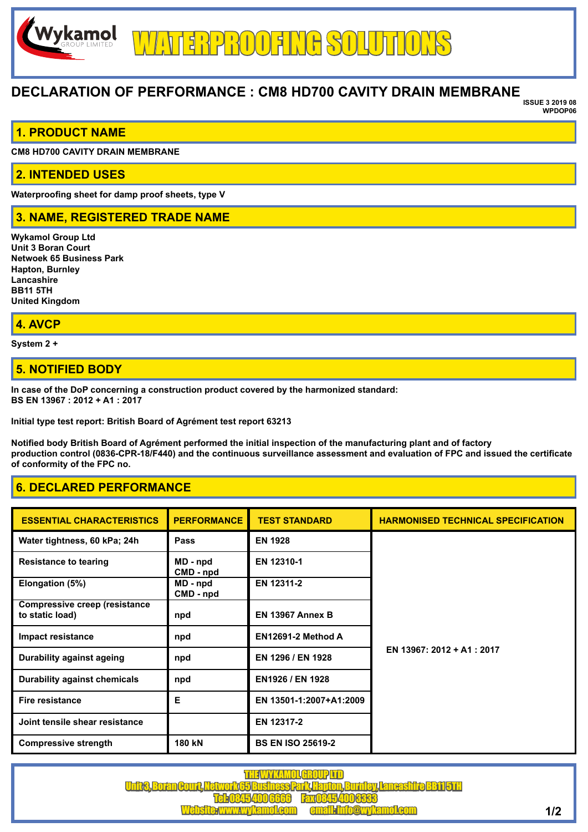# **DECLARATION OF PERFORMANCE : CM8 HD700 CAVITY DRAIN MEMBRANE**

**ISSUE 3 2019 08 WPDOP06** 

### **1. PRODUCT NAME**

**CM8 HD700 CAVITY DRAIN MEMBRANE**

#### **2. INTENDED USES**

**Waterproofing sheet for damp proof sheets, type V**

## **3. NAME, REGISTERED TRADE NAME**

**Wykamol Group Ltd Unit 3 Boran Court Netwoek 65 Business Park Hapton, Burnley Lancashire BB11 5TH United Kingdom**

#### **4. AVCP**

**System 2 +**

### **5. NOTIFIED BODY**

**In case of the DoP concerning a construction product covered by the harmonized standard: BS EN 13967 : 2012 + A1 : 2017**

**Initial type test report: British Board of Agrément test report 63213**

**Notified body British Board of Agrément performed the initial inspection of the manufacturing plant and of factory production control (0836-CPR-18/F440) and the continuous surveillance assessment and evaluation of FPC and issued the certificate of conformity of the FPC no.**

# **6. DECLARED PERFORMANCE**

| <b>ESSENTIAL CHARACTERISTICS</b>                        | <b>PERFORMANCE</b>    | <b>TEST STANDARD</b>     | <b>HARMONISED TECHNICAL SPECIFICATION</b> |
|---------------------------------------------------------|-----------------------|--------------------------|-------------------------------------------|
| Water tightness, 60 kPa; 24h                            | Pass                  | <b>EN 1928</b>           | EN 13967: 2012 + A1: 2017                 |
| <b>Resistance to tearing</b>                            | MD - npd<br>CMD - npd | EN 12310-1               |                                           |
| Elongation (5%)                                         | MD - npd<br>CMD - npd | EN 12311-2               |                                           |
| <b>Compressive creep (resistance</b><br>to static load) | npd                   | <b>EN 13967 Annex B</b>  |                                           |
| Impact resistance                                       | npd                   | EN12691-2 Method A       |                                           |
| Durability against ageing                               | npd                   | EN 1296 / EN 1928        |                                           |
| <b>Durability against chemicals</b>                     | npd                   | EN1926 / EN 1928         |                                           |
| <b>Fire resistance</b>                                  | Е                     | EN 13501-1:2007+A1:2009  |                                           |
| Joint tensile shear resistance                          |                       | EN 12317-2               |                                           |
| <b>Compressive strength</b>                             | 180 kN                | <b>BS EN ISO 25619-2</b> |                                           |